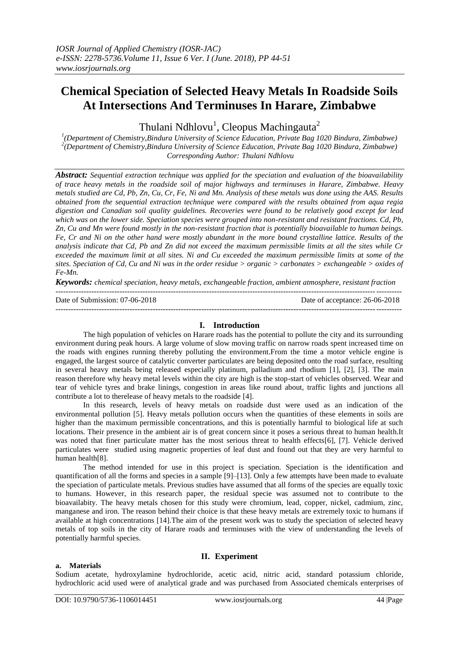# **Chemical Speciation of Selected Heavy Metals In Roadside Soils At Intersections And Terminuses In Harare, Zimbabwe**

Thulani Ndhlovu<sup>1</sup>, Cleopus Machingauta<sup>2</sup>

*1 (Department of Chemistry,Bindura University of Science Education, Private Bag 1020 Bindura, Zimbabwe) 2 (Department of Chemistry,Bindura University of Science Education, Private Bag 1020 Bindura, Zimbabwe) Corresponding Author: Thulani Ndhlovu*

*Abstract: Sequential extraction technique was applied for the speciation and evaluation of the bioavailability of trace heavy metals in the roadside soil of major highways and terminuses in Harare, Zimbabwe. Heavy metals studied are Cd, Pb, Zn, Cu, Cr, Fe, Ni and Mn. Analysis of these metals was done using the AAS. Results obtained from the sequential extraction technique were compared with the results obtained from aqua regia digestion and Canadian soil quality guidelines. Recoveries were found to be relatively good except for lead which was on the lower side. Speciation species were grouped into non-resistant and resistant fractions. Cd, Pb, Zn, Cu and Mn were found mostly in the non-resistant fraction that is potentially bioavailable to human beings. Fe, Cr and Ni on the other hand were mostly abundant in the more bound crystalline lattice. Results of the analysis indicate that Cd, Pb and Zn did not exceed the maximum permissible limits at all the sites while Cr exceeded the maximum limit at all sites. Ni and Cu exceeded the maximum permissible limits at some of the sites. Speciation of Cd, Cu and Ni was in the order residue > organic > carbonates > exchangeable > oxides of Fe-Mn.* 

*Keywords: chemical speciation, heavy metals, exchangeable fraction, ambient atmosphere, resistant fraction* ---------------------------------------------------------------------------------------------------------------------------------------

Date of Submission: 07-06-2018 Date of acceptance: 26-06-2018

## **I. Introduction**

---------------------------------------------------------------------------------------------------------------------------------------

The high population of vehicles on Harare roads has the potential to pollute the city and its surrounding environment during peak hours. A large volume of slow moving traffic on narrow roads spent increased time on the roads with engines running thereby polluting the environment.From the time a motor vehicle engine is engaged, the largest source of catalytic converter particulates are being deposited onto the road surface, resulting in several heavy metals being released especially platinum, palladium and rhodium [1], [2], [3]. The main reason therefore why heavy metal levels within the city are high is the stop-start of vehicles observed. Wear and tear of vehicle tyres and brake linings, congestion in areas like round about, traffic lights and junctions all contribute a lot to therelease of heavy metals to the roadside [4].

In this research, levels of heavy metals on roadside dust were used as an indication of the environmental pollution [5]. Heavy metals pollution occurs when the quantities of these elements in soils are higher than the maximum permissible concentrations, and this is potentially harmful to biological life at such locations. Their presence in the ambient air is of great concern since it poses a serious threat to human health.It was noted that finer particulate matter has the most serious threat to health effects[6], [7]. Vehicle derived particulates were studied using magnetic properties of leaf dust and found out that they are very harmful to human health[8].

The method intended for use in this project is speciation. Speciation is the identification and quantification of all the forms and species in a sample [9]–[13]. Only a few attempts have been made to evaluate the speciation of particulate metals. Previous studies have assumed that all forms of the species are equally toxic to humans. However, in this research paper, the residual specie was assumed not to contribute to the bioavailabity. The heavy metals chosen for this study were chromium, lead, copper, nickel, cadmium, zinc, manganese and iron. The reason behind their choice is that these heavy metals are extremely toxic to humans if available at high concentrations [14].The aim of the present work was to study the speciation of selected heavy metals of top soils in the city of Harare roads and terminuses with the view of understanding the levels of potentially harmful species.

#### **II. Experiment**

#### **a. Materials**

Sodium acetate, hydroxylamine hydrochloride, acetic acid, nitric acid, standard potassium chloride, hydrochloric acid used were of analytical grade and was purchased from Associated chemicals enterprises of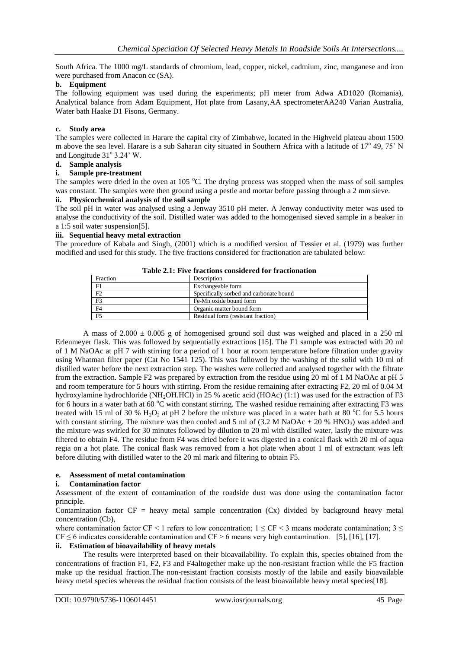South Africa. The 1000 mg/L standards of chromium, lead, copper, nickel, cadmium, zinc, manganese and iron were purchased from Anacon cc (SA).

## **b. Equipment**

The following equipment was used during the experiments; pH meter from Adwa AD1020 (Romania), Analytical balance from Adam Equipment, Hot plate from Lasany,AA spectrometerAA240 Varian Australia, Water bath Haake D1 Fisons, Germany.

## **c. Study area**

The samples were collected in Harare the capital city of Zimbabwe, located in the Highveld plateau about 1500 m above the sea level. Harare is a sub Saharan city situated in Southern Africa with a latitude of 17° 49, 75' N and Longitude 31° 3.24' W.

## **d. Sample analysis**

#### **i. Sample pre-treatment**

The samples were dried in the oven at 105 °C. The drying process was stopped when the mass of soil samples was constant. The samples were then ground using a pestle and mortar before passing through a 2 mm sieve.

## **ii. Physicochemical analysis of the soil sample**

The soil pH in water was analysed using a Jenway 3510 pH meter. A Jenway conductivity meter was used to analyse the conductivity of the soil. Distilled water was added to the homogenised sieved sample in a beaker in a 1:5 soil water suspension[5].

## **iii. Sequential heavy metal extraction**

The procedure of Kabala and Singh, (2001) which is a modified version of Tessier et al. (1979) was further modified and used for this study. The five fractions considered for fractionation are tabulated below:

#### **Table 2.1: Five fractions considered for fractionation**

| Fraction       | Description                             |
|----------------|-----------------------------------------|
| F1             | Exchangeable form                       |
| F2             | Specifically sorbed and carbonate bound |
| F <sub>3</sub> | Fe-Mn oxide bound form                  |
| F <sub>4</sub> | Organic matter bound form               |
| F5             | Residual form (resistant fraction)      |

A mass of  $2.000 \pm 0.005$  g of homogenised ground soil dust was weighed and placed in a 250 ml Erlenmeyer flask. This was followed by sequentially extractions [15]. The F1 sample was extracted with 20 ml of 1 M NaOAc at pH 7 with stirring for a period of 1 hour at room temperature before filtration under gravity using Whatman filter paper (Cat No 1541 125). This was followed by the washing of the solid with 10 ml of distilled water before the next extraction step. The washes were collected and analysed together with the filtrate from the extraction. Sample F2 was prepared by extraction from the residue using 20 ml of 1 M NaOAc at pH 5 and room temperature for 5 hours with stirring. From the residue remaining after extracting F2, 20 ml of 0.04 M hydroxylamine hydrochloride (NH<sub>2</sub>OH.HCl) in 25 % acetic acid (HOAc) (1:1) was used for the extraction of F3 for 6 hours in a water bath at 60  $^{\circ}$ C with constant stirring. The washed residue remaining after extracting F3 was treated with 15 ml of 30 % H<sub>2</sub>O<sub>2</sub> at pH 2 before the mixture was placed in a water bath at 80  $^{\circ}$ C for 5.5 hours with constant stirring. The mixture was then cooled and 5 ml of  $(3.2 M NaOAc + 20 % HNO<sub>3</sub>)$  was added and the mixture was swirled for 30 minutes followed by dilution to 20 ml with distilled water, lastly the mixture was filtered to obtain F4. The residue from F4 was dried before it was digested in a conical flask with 20 ml of aqua regia on a hot plate. The conical flask was removed from a hot plate when about 1 ml of extractant was left before diluting with distilled water to the 20 ml mark and filtering to obtain F5.

#### **e. Assessment of metal contamination**

#### **i. Contamination factor**

Assessment of the extent of contamination of the roadside dust was done using the contamination factor principle.

Contamination factor  $CF =$  heavy metal sample concentration  $(Cx)$  divided by background heavy metal concentration (Cb),

where contamination factor CF < 1 refers to low concentration;  $1 \leq$  CF < 3 means moderate contamination;  $3 \leq$  $CF \le 6$  indicates considerable contamination and  $CF \ge 6$  means very high contamination. [5], [16], [17].

#### **ii. Estimation of bioavailability of heavy metals**

The results were interpreted based on their bioavailability. To explain this, species obtained from the concentrations of fraction F1, F2, F3 and F4altogether make up the non-resistant fraction while the F5 fraction make up the residual fraction.The non-resistant fraction consists mostly of the labile and easily bioavailable heavy metal species whereas the residual fraction consists of the least bioavailable heavy metal species[18].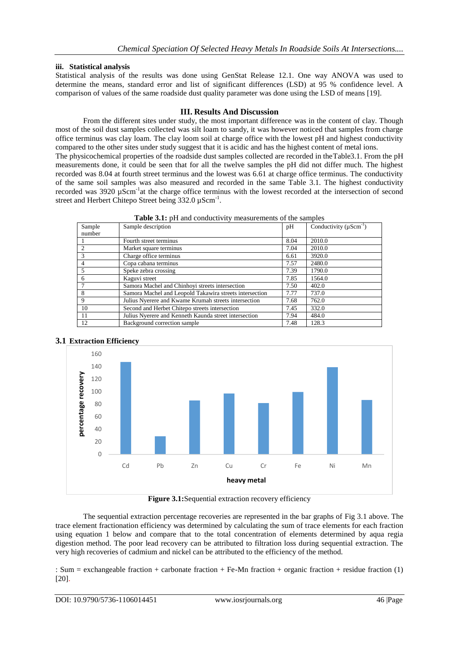## **iii. Statistical analysis**

Statistical analysis of the results was done using GenStat Release 12.1. One way ANOVA was used to determine the means, standard error and list of significant differences (LSD) at 95 % confidence level. A comparison of values of the same roadside dust quality parameter was done using the LSD of means [19].

## **III. Results And Discussion**

From the different sites under study, the most important difference was in the content of clay. Though most of the soil dust samples collected was silt loam to sandy, it was however noticed that samples from charge office terminus was clay loam. The clay loom soil at charge office with the lowest pH and highest conductivity compared to the other sites under study suggest that it is acidic and has the highest content of metal ions. The physicochemical properties of the roadside dust samples collected are recorded in theTable3.1. From the pH measurements done, it could be seen that for all the twelve samples the pH did not differ much. The highest recorded was 8.04 at fourth street terminus and the lowest was 6.61 at charge office terminus. The conductivity of the same soil samples was also measured and recorded in the same Table 3.1. The highest conductivity recorded was 3920 µScm<sup>-1</sup>at the charge office terminus with the lowest recorded at the intersection of second street and Herbert Chitepo Street being  $332.0 \mu \text{Scm}^{-1}$ .

| Sample<br>number | Sample description                                      | pH   | Conductivity $(\mu \text{Scm}^{-1})$ |
|------------------|---------------------------------------------------------|------|--------------------------------------|
|                  | Fourth street terminus                                  | 8.04 | 2010.0                               |
| 2                | Market square terminus                                  | 7.04 | 2010.0                               |
| 3                | Charge office terminus                                  | 6.61 | 3920.0                               |
|                  | Copa cabana terminus                                    | 7.57 | 2480.0                               |
|                  | Speke zebra crossing                                    | 7.39 | 1790.0                               |
| 6                | Kaguvi street                                           | 7.85 | 1564.0                               |
|                  | Samora Machel and Chinhoyi streets intersection         | 7.50 | 402.0                                |
| 8                | Samora Machel and Leopold Takawira streets intersection | 7.77 | 737.0                                |
| 9                | Julius Nyerere and Kwame Krumah streets intersection    | 7.68 | 762.0                                |
| 10               | Second and Herbet Chitepo streets intersection          | 7.45 | 332.0                                |
| 11               | Julius Nyerere and Kenneth Kaunda street intersection   | 7.94 | 484.0                                |
| 12               | Background correction sample                            | 7.48 | 128.3                                |

**Table 3.1:** pH and conductivity measurements of the samples



# **3.1 Extraction Efficiency**

Figure 3.1:Sequential extraction recovery efficiency

The sequential extraction percentage recoveries are represented in the bar graphs of Fig 3.1 above. The trace element fractionation efficiency was determined by calculating the sum of trace elements for each fraction using equation 1 below and compare that to the total concentration of elements determined by aqua regia digestion method. The poor lead recovery can be attributed to filtration loss during sequential extraction. The very high recoveries of cadmium and nickel can be attributed to the efficiency of the method.

: Sum = exchangeable fraction + carbonate fraction + Fe-Mn fraction + organic fraction + residue fraction (1) [20].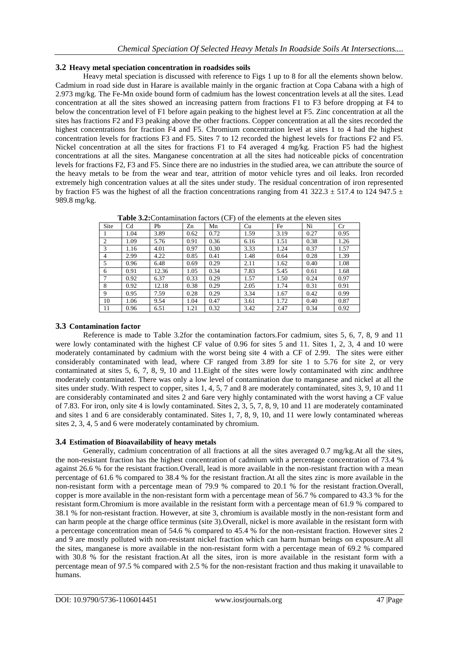## **3.2 Heavy metal speciation concentration in roadsides soils**

Heavy metal speciation is discussed with reference to Figs 1 up to 8 for all the elements shown below. Cadmium in road side dust in Harare is available mainly in the organic fraction at Copa Cabana with a high of 2.973 mg/kg. The Fe-Mn oxide bound form of cadmium has the lowest concentration levels at all the sites. Lead concentration at all the sites showed an increasing pattern from fractions F1 to F3 before dropping at F4 to below the concentration level of F1 before again peaking to the highest level at F5. Zinc concentration at all the sites has fractions F2 and F3 peaking above the other fractions. Copper concentration at all the sites recorded the highest concentrations for fraction F4 and F5. Chromium concentration level at sites 1 to 4 had the highest concentration levels for fractions F3 and F5. Sites 7 to 12 recorded the highest levels for fractions F2 and F5. Nickel concentration at all the sites for fractions F1 to F4 averaged 4 mg/kg. Fraction F5 had the highest concentrations at all the sites. Manganese concentration at all the sites had noticeable picks of concentration levels for fractions F2, F3 and F5. Since there are no industries in the studied area, we can attribute the source of the heavy metals to be from the wear and tear, attrition of motor vehicle tyres and oil leaks. Iron recorded extremely high concentration values at all the sites under study. The residual concentration of iron represented by fraction F5 was the highest of all the fraction concentrations ranging from 41 322.3  $\pm$  517.4 to 124 947.5  $\pm$ 989.8 mg/kg.

| Site           | Cd   | Pb    | Zn   | Mn   | Cu   | Fe   | Ni   | Cr   |
|----------------|------|-------|------|------|------|------|------|------|
|                | 1.04 | 3.89  | 0.62 | 0.72 | 1.59 | 3.19 | 0.27 | 0.95 |
| $\overline{2}$ | 1.09 | 5.76  | 0.91 | 0.36 | 6.16 | 1.51 | 0.38 | 1.26 |
| 3              | 1.16 | 4.01  | 0.97 | 0.30 | 3.33 | 1.24 | 0.37 | 1.57 |
| $\overline{4}$ | 2.99 | 4.22  | 0.85 | 0.41 | 1.48 | 0.64 | 0.28 | 1.39 |
| 5              | 0.96 | 6.48  | 0.69 | 0.29 | 2.11 | 1.62 | 0.40 | 1.08 |
| 6              | 0.91 | 12.36 | 1.05 | 0.34 | 7.83 | 5.45 | 0.61 | 1.68 |
| $\mathcal{I}$  | 0.92 | 6.37  | 0.33 | 0.29 | 1.57 | 1.50 | 0.24 | 0.97 |
| 8              | 0.92 | 12.18 | 0.38 | 0.29 | 2.05 | 1.74 | 0.31 | 0.91 |
| 9              | 0.95 | 7.59  | 0.28 | 0.29 | 3.34 | 1.67 | 0.42 | 0.99 |
| 10             | 1.06 | 9.54  | 1.04 | 0.47 | 3.61 | 1.72 | 0.40 | 0.87 |
| 11             | 0.96 | 6.51  | 1.21 | 0.32 | 3.42 | 2.47 | 0.34 | 0.92 |

**Table 3.2:**Contamination factors (CF) of the elements at the eleven sites

# **3.3 Contamination factor**

Reference is made to Table 3.2for the contamination factors.For cadmium, sites 5, 6, 7, 8, 9 and 11 were lowly contaminated with the highest CF value of 0.96 for sites 5 and 11. Sites 1, 2, 3, 4 and 10 were moderately contaminated by cadmium with the worst being site 4 with a CF of 2.99. The sites were either considerably contaminated with lead, where CF ranged from 3.89 for site 1 to 5.76 for site 2, or very contaminated at sites 5, 6, 7, 8, 9, 10 and 11.Eight of the sites were lowly contaminated with zinc andthree moderately contaminated. There was only a low level of contamination due to manganese and nickel at all the sites under study. With respect to copper, sites 1, 4, 5, 7 and 8 are moderately contaminated, sites 3, 9, 10 and 11 are considerably contaminated and sites 2 and 6are very highly contaminated with the worst having a CF value of 7.83. For iron, only site 4 is lowly contaminated. Sites 2, 3, 5, 7, 8, 9, 10 and 11 are moderately contaminated and sites 1 and 6 are considerably contaminated. Sites 1, 7, 8, 9, 10, and 11 were lowly contaminated whereas sites 2, 3, 4, 5 and 6 were moderately contaminated by chromium.

## **3.4 Estimation of Bioavailability of heavy metals**

Generally, cadmium concentration of all fractions at all the sites averaged 0.7 mg/kg.At all the sites, the non-resistant fraction has the highest concentration of cadmium with a percentage concentration of 73.4 % against 26.6 % for the resistant fraction.Overall, lead is more available in the non-resistant fraction with a mean percentage of 61.6 % compared to 38.4 % for the resistant fraction.At all the sites zinc is more available in the non-resistant form with a percentage mean of 79.9 % compared to 20.1 % for the resistant fraction.Overall, copper is more available in the non-resistant form with a percentage mean of 56.7 % compared to 43.3 % for the resistant form.Chromium is more available in the resistant form with a percentage mean of 61.9 % compared to 38.1 % for non-resistant fraction. However, at site 3, chromium is available mostly in the non-resistant form and can harm people at the charge office terminus (site 3).Overall, nickel is more available in the resistant form with a percentage concentration mean of 54.6 % compared to 45.4 % for the non-resistant fraction. However sites 2 and 9 are mostly polluted with non-resistant nickel fraction which can harm human beings on exposure.At all the sites, manganese is more available in the non-resistant form with a percentage mean of 69.2 % compared with 30.8 % for the resistant fraction.At all the sites, iron is more available in the resistant form with a percentage mean of 97.5 % compared with 2.5 % for the non-resistant fraction and thus making it unavailable to humans.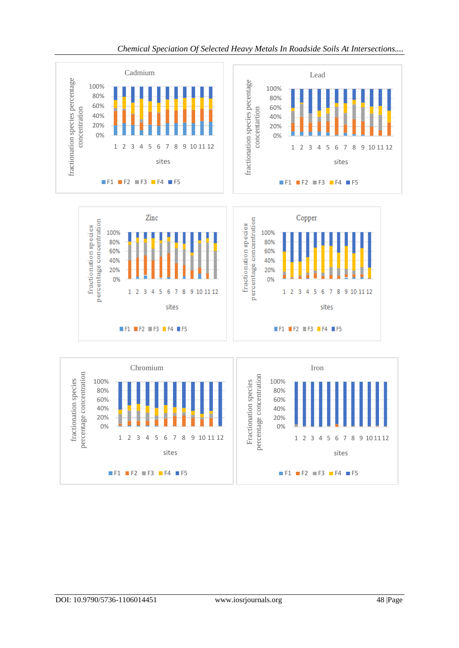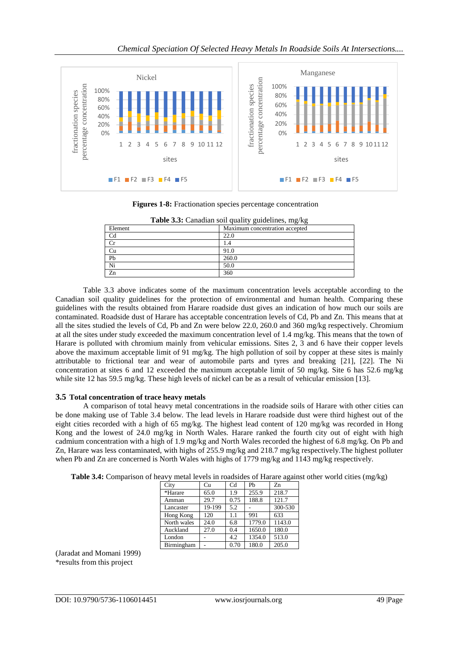

**Figures 1-8:** Fractionation species percentage concentration

| <b>Table 3.3:</b> Canadian soil quality guidelines, mg/kg |                                |  |  |  |  |
|-----------------------------------------------------------|--------------------------------|--|--|--|--|
| Element                                                   | Maximum concentration accepted |  |  |  |  |
| C <sub>d</sub>                                            | 22.0                           |  |  |  |  |
| Cr                                                        | 1.4                            |  |  |  |  |
| Cu                                                        | 91.0                           |  |  |  |  |
| Pb                                                        | 260.0                          |  |  |  |  |
| Ni                                                        | 50.0                           |  |  |  |  |
| $\overline{z}$ n                                          | 360                            |  |  |  |  |

Table 3.3 above indicates some of the maximum concentration levels acceptable according to the Canadian soil quality guidelines for the protection of environmental and human health. Comparing these guidelines with the results obtained from Harare roadside dust gives an indication of how much our soils are contaminated. Roadside dust of Harare has acceptable concentration levels of Cd, Pb and Zn. This means that at all the sites studied the levels of Cd, Pb and Zn were below 22.0, 260.0 and 360 mg/kg respectively. Chromium at all the sites under study exceeded the maximum concentration level of 1.4 mg/kg. This means that the town of Harare is polluted with chromium mainly from vehicular emissions. Sites 2, 3 and 6 have their copper levels above the maximum acceptable limit of 91 mg/kg. The high pollution of soil by copper at these sites is mainly attributable to frictional tear and wear of automobile parts and tyres and breaking [21], [22]. The Ni concentration at sites 6 and 12 exceeded the maximum acceptable limit of 50 mg/kg. Site 6 has 52.6 mg/kg while site 12 has 59.5 mg/kg. These high levels of nickel can be as a result of vehicular emission [13].

#### **3.5 Total concentration of trace heavy metals**

A comparison of total heavy metal concentrations in the roadside soils of Harare with other cities can be done making use of Table 3.4 below. The lead levels in Harare roadside dust were third highest out of the eight cities recorded with a high of 65 mg/kg. The highest lead content of 120 mg/kg was recorded in Hong Kong and the lowest of 24.0 mg/kg in North Wales. Harare ranked the fourth city out of eight with high cadmium concentration with a high of 1.9 mg/kg and North Wales recorded the highest of 6.8 mg/kg. On Pb and Zn, Harare was less contaminated, with highs of 255.9 mg/kg and 218.7 mg/kg respectively.The highest polluter when Pb and Zn are concerned is North Wales with highs of 1779 mg/kg and 1143 mg/kg respectively.

|  | Table 3.4: Comparison of heavy metal levels in roadsides of Harare against other world cities (mg/kg) |  |  |  |  |
|--|-------------------------------------------------------------------------------------------------------|--|--|--|--|
|  |                                                                                                       |  |  |  |  |
|  |                                                                                                       |  |  |  |  |

| City        | Cu     | C <sub>d</sub> | Ph     | Zn      |
|-------------|--------|----------------|--------|---------|
| *Harare     | 65.0   | 1.9            | 255.9  | 218.7   |
| Amman       | 29.7   | 0.75           | 188.8  | 121.7   |
| Lancaster   | 19-199 | 5.2            |        | 300-530 |
| Hong Kong   | 120    | 1.1            | 991    | 633     |
| North wales | 24.0   | 6.8            | 1779.0 | 1143.0  |
| Auckland    | 27.0   | 0.4            | 1650.0 | 180.0   |
| London      |        | 4.2            | 1354.0 | 513.0   |
| Birmingham  |        | 0.70           | 180.0  | 205.0   |

(Jaradat and Momani 1999) \*results from this project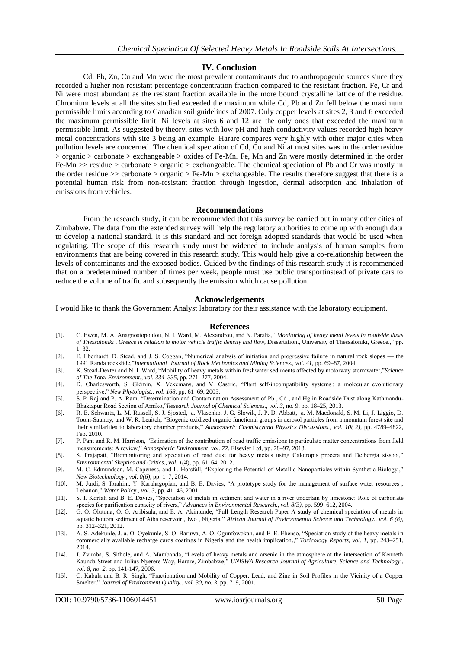#### **IV. Conclusion**

Cd, Pb, Zn, Cu and Mn were the most prevalent contaminants due to anthropogenic sources since they recorded a higher non-resistant percentage concentration fraction compared to the resistant fraction. Fe, Cr and Ni were most abundant as the resistant fraction available in the more bound crystalline lattice of the residue. Chromium levels at all the sites studied exceeded the maximum while Cd, Pb and Zn fell below the maximum permissible limits according to Canadian soil guidelines of 2007. Only copper levels at sites 2, 3 and 6 exceeded the maximum permissible limit. Ni levels at sites 6 and 12 are the only ones that exceeded the maximum permissible limit. As suggested by theory, sites with low pH and high conductivity values recorded high heavy metal concentrations with site 3 being an example. Harare compares very highly with other major cities when pollution levels are concerned. The chemical speciation of Cd, Cu and Ni at most sites was in the order residue > organic > carbonate > exchangeable > oxides of Fe-Mn. Fe, Mn and Zn were mostly determined in the order Fe-Mn  $\gg$  residue  $\gt$  carbonate  $\gt$  organic  $\gt$  exchangeable. The chemical speciation of Pb and Cr was mostly in the order residue >> carbonate > organic > Fe-Mn > exchangeable. The results therefore suggest that there is a potential human risk from non-resistant fraction through ingestion, dermal adsorption and inhalation of emissions from vehicles.

#### **Recommendations**

From the research study, it can be recommended that this survey be carried out in many other cities of Zimbabwe. The data from the extended survey will help the regulatory authorities to come up with enough data to develop a national standard. It is this standard and not foreign adopted standards that would be used when regulating. The scope of this research study must be widened to include analysis of human samples from environments that are being covered in this research study. This would help give a co-relationship between the levels of contaminants and the exposed bodies. Guided by the findings of this research study it is recommended that on a predetermined number of times per week, people must use public transportinstead of private cars to reduce the volume of traffic and subsequently the emission which cause pollution.

#### **Acknowledgements**

I would like to thank the Government Analyst laboratory for their assistance with the laboratory equipment.

#### **References**

- [1]. C. Ewen, M. A. Anagnostopoulou, N. I. Ward, M. Alexandrou, and N. Paralia, "Monitoring of heavy metal levels in roadside dusts *of Thessaloniki, Greece in relation to motor vehicle traffic density and flow*, Dissertation., University of Thessaloniki, Greece.," pp. 1–32.
- [2]. E. Eberhardt, D. Stead, and J. S. Coggan, "Numerical analysis of initiation and progressive failure in natural rock slopes the 1991 Randa rockslide,‖*International Journal of Rock Mechanics and Mining Sciences.*, *vol. 41*, pp. 69–87, 2004.
- [3]. K. Stead-Dexter and N. I. Ward, "Mobility of heavy metals within freshwater sediments affected by motorway stormwater,"Science *of The Total Environment.*, *vol. 334–335*, pp. 271–277, 2004.
- [4]. D. Charlesworth, S. Glémin, X. Vekemans, and V. Castric, "Plant self-incompatibility systems : a molecular evolutionary perspective," New Phytologist., vol. 168, pp. 61–69, 2005.
- [5]. S. P. Raj and P. A. Ram, 

"Determination and Contamination Assessment of Pb, Cd, and Hg in Roadside Dust along Kathmandu-Bhaktapur Road Section of Arniko,‖*Research Journal of Chemical Sciences.*, *vol. 3*, no. 9, pp. 18–25, 2013.
- [6]. R. E. Schwartz, L. M. Russell, S. J. Sjosted, a. Vlasenko, J. G. Slowik, J. P. D. Abbatt, a. M. Macdonald, S. M. Li, J. Liggio, D. Toom-Sauntry, and W. R. Leaitch, "Biogenic oxidized organic functional groups in aerosol particles from a mountain forest site and their similarities to laboratory chamber products,‖ *Atmospheric Chemistryand Physsics Discussions.*, *vol. 10( 2)*, pp. 4789–4822, Feb. 2010.
- [7]. P. Pant and R. M. Harrison, "Estimation of the contribution of road traffic emissions to particulate matter concentrations from field measurements: A review," *Atmospheric Environment*, *vol.* 77. Elsevier Ltd, pp. 78–97, 2013.
- [8]. S. Prajapati, "Biomonitoring and speciation of road dust for heavy metals using Calotropis procera and Delbergia sissoo.," *Environmental Skeptics and Critics*., *vol. 1(4*), pp. 61–64, 2012.
- [9]. M. C. Edmundson, M. Capeness, and L. Horsfall, "Exploring the Potential of Metallic Nanoparticles within Synthetic Biology.." *New Biotechnology.*, *vol. 0(6)*, pp. 1–7, 2014.
- [10]. M. Jurdi, S. Ibrahim, Y. Karahagopian, and B. E. Davies, "A prototype study for the management of surface water resources , Lebanon,‖ *Water Polic*y., *vol. 3*, pp. 41–46, 2001.
- [11]. S. I. Korfali and B. E. Davies, "Speciation of metals in sediment and water in a river underlain by limestone: Role of carbonate species for purification capacity of rivers," *Advances in Environmental Research.*, *vol.* 8(3), pp. 599–612, 2004.
- [12]. G. O. Olutona, O. G. Aribisala, and E. A. Akintunde, "Full Length Research Paper A study of chemical speciation of metals in aquatic bottom sediment of Aiba reservoir, Iwo, Nigeria," African Journal of Environmental Science and Technology., vol. 6 (8), pp. 312–321, 2012.
- [13]. A. S. Adekunle, J. a. O. Oyekunle, S. O. Baruwa, A. O. Ogunfowokan, and E. E. Ebenso, "Speciation study of the heavy metals in commercially available recharge cards coatings in Nigeria and the health implication.,‖ *Toxicology Reports*, *vol. 1*, pp. 243–251, 2014.
- [14]. J. Zvimba, S. Sithole, and A. Mambanda, "Levels of heavy metals and arsenic in the atmosphere at the intersection of Kenneth Kaunda Street and Julius Nyerere Way, Harare, Zimbabwe,‖ *UNISWA Research Journal of Agriculture, Science and Technology*., *vol. 8, no. 2*. pp. 141-147, 2006.
- [15]. C. Kabala and B. R. Singh, "Fractionation and Mobility of Copper, Lead, and Zinc in Soil Profiles in the Vicinity of a Copper Smelter," *Journal of Environment Quality.*, *vol. 30, no. 3*, pp. 7-9, 2001.